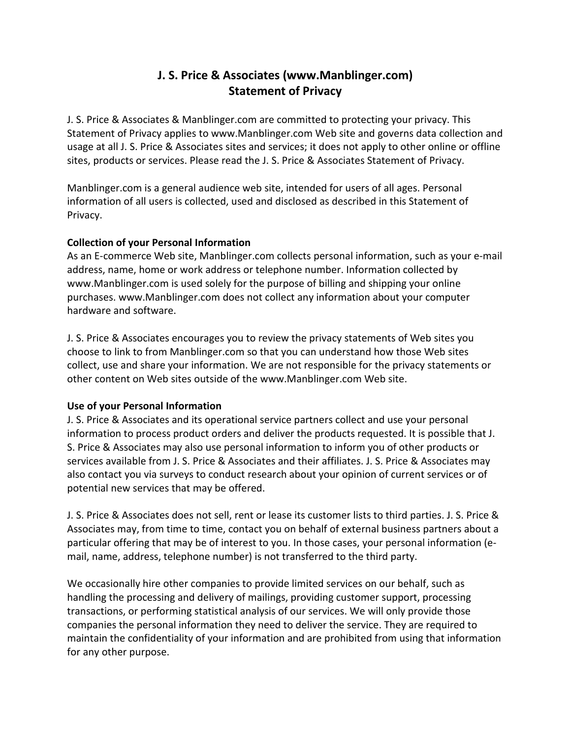# **J. S. Price & Associates (www.Manblinger.com) Statement of Privacy**

J. S. Price & Associates & Manblinger.com are committed to protecting your privacy. This Statement of Privacy applies to www.Manblinger.com Web site and governs data collection and usage at all J. S. Price & Associates sites and services; it does not apply to other online or offline sites, products or services. Please read the J. S. Price & Associates Statement of Privacy.

Manblinger.com is a general audience web site, intended for users of all ages. Personal information of all users is collected, used and disclosed as described in this Statement of Privacy.

## **Collection of your Personal Information**

As an E-commerce Web site, Manblinger.com collects personal information, such as your e-mail address, name, home or work address or telephone number. Information collected by www.Manblinger.com is used solely for the purpose of billing and shipping your online purchases. www.Manblinger.com does not collect any information about your computer hardware and software.

J. S. Price & Associates encourages you to review the privacy statements of Web sites you choose to link to from Manblinger.com so that you can understand how those Web sites collect, use and share your information. We are not responsible for the privacy statements or other content on Web sites outside of the www.Manblinger.com Web site.

# **Use of your Personal Information**

J. S. Price & Associates and its operational service partners collect and use your personal information to process product orders and deliver the products requested. It is possible that J. S. Price & Associates may also use personal information to inform you of other products or services available from J. S. Price & Associates and their affiliates. J. S. Price & Associates may also contact you via surveys to conduct research about your opinion of current services or of potential new services that may be offered.

J. S. Price & Associates does not sell, rent or lease its customer lists to third parties. J. S. Price & Associates may, from time to time, contact you on behalf of external business partners about a particular offering that may be of interest to you. In those cases, your personal information (email, name, address, telephone number) is not transferred to the third party.

We occasionally hire other companies to provide limited services on our behalf, such as handling the processing and delivery of mailings, providing customer support, processing transactions, or performing statistical analysis of our services. We will only provide those companies the personal information they need to deliver the service. They are required to maintain the confidentiality of your information and are prohibited from using that information for any other purpose.